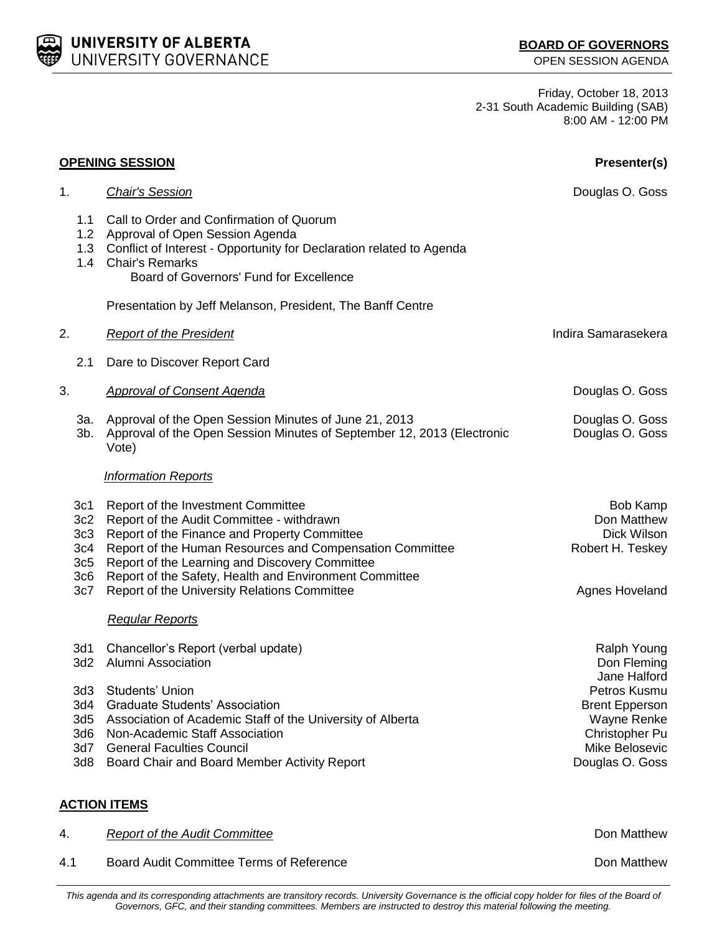Friday, October 18, 2013 2-31 South Academic Building (SAB) 8:00 AM - 12:00 PM

|                                                           | <b>OPENING SESSION</b>                                                                                                                                                                                                                                                                                                                                  | Presenter(s)                                                                                                |  |
|-----------------------------------------------------------|---------------------------------------------------------------------------------------------------------------------------------------------------------------------------------------------------------------------------------------------------------------------------------------------------------------------------------------------------------|-------------------------------------------------------------------------------------------------------------|--|
| 1.                                                        | <b>Chair's Session</b>                                                                                                                                                                                                                                                                                                                                  | Douglas O. Goss                                                                                             |  |
| 1.1                                                       | Call to Order and Confirmation of Quorum<br>1.2 Approval of Open Session Agenda<br>1.3 Conflict of Interest - Opportunity for Declaration related to Agenda<br>1.4 Chair's Remarks<br>Board of Governors' Fund for Excellence                                                                                                                           |                                                                                                             |  |
|                                                           | Presentation by Jeff Melanson, President, The Banff Centre                                                                                                                                                                                                                                                                                              |                                                                                                             |  |
| 2.                                                        | <b>Report of the President</b>                                                                                                                                                                                                                                                                                                                          | Indira Samarasekera                                                                                         |  |
| 2.1                                                       | Dare to Discover Report Card                                                                                                                                                                                                                                                                                                                            |                                                                                                             |  |
| 3.                                                        | <b>Approval of Consent Agenda</b>                                                                                                                                                                                                                                                                                                                       | Douglas O. Goss                                                                                             |  |
| 3a.<br>$3b$ .                                             | Approval of the Open Session Minutes of June 21, 2013<br>Approval of the Open Session Minutes of September 12, 2013 (Electronic<br>Vote)                                                                                                                                                                                                                | Douglas O. Goss<br>Douglas O. Goss                                                                          |  |
|                                                           | <b>Information Reports</b>                                                                                                                                                                                                                                                                                                                              |                                                                                                             |  |
| 3c1<br>3c2<br>3c3<br>3c <sub>4</sub><br>3c5<br>3c6<br>3c7 | Report of the Investment Committee<br>Report of the Audit Committee - withdrawn<br>Report of the Finance and Property Committee<br>Report of the Human Resources and Compensation Committee<br>Report of the Learning and Discovery Committee<br>Report of the Safety, Health and Environment Committee<br>Report of the University Relations Committee | Bob Kamp<br>Don Matthew<br>Dick Wilson<br>Robert H. Teskey<br>Agnes Hoveland                                |  |
|                                                           | <b>Regular Reports</b>                                                                                                                                                                                                                                                                                                                                  |                                                                                                             |  |
| 3d1<br>3d2                                                | Chancellor's Report (verbal update)<br><b>Alumni Association</b>                                                                                                                                                                                                                                                                                        | Ralph Young<br>Don Fleming<br>Jane Halford                                                                  |  |
| 3d3<br>3d4<br>3d5<br>3d6                                  | Students' Union<br><b>Graduate Students' Association</b><br>Association of Academic Staff of the University of Alberta<br>Non-Academic Staff Association<br>3d7 General Faculties Council<br>3d8 Board Chair and Board Member Activity Report                                                                                                           | Petros Kusmu<br><b>Brent Epperson</b><br>Wayne Renke<br>Christopher Pu<br>Mike Belosevic<br>Douglas O. Goss |  |
| <b>ACTION ITEMS</b>                                       |                                                                                                                                                                                                                                                                                                                                                         |                                                                                                             |  |
| 4.                                                        | <b>Report of the Audit Committee</b>                                                                                                                                                                                                                                                                                                                    | Don Matthew                                                                                                 |  |

4.1 Board Audit Committee Terms of Reference **Donald Audit Committee Terms** of Reference

This agenda and its corresponding attachments are transitory records. University Governance is the official copy holder for files of the Board of *Governors, GFC, and their standing committees. Members are instructed to destroy this material following the meeting.*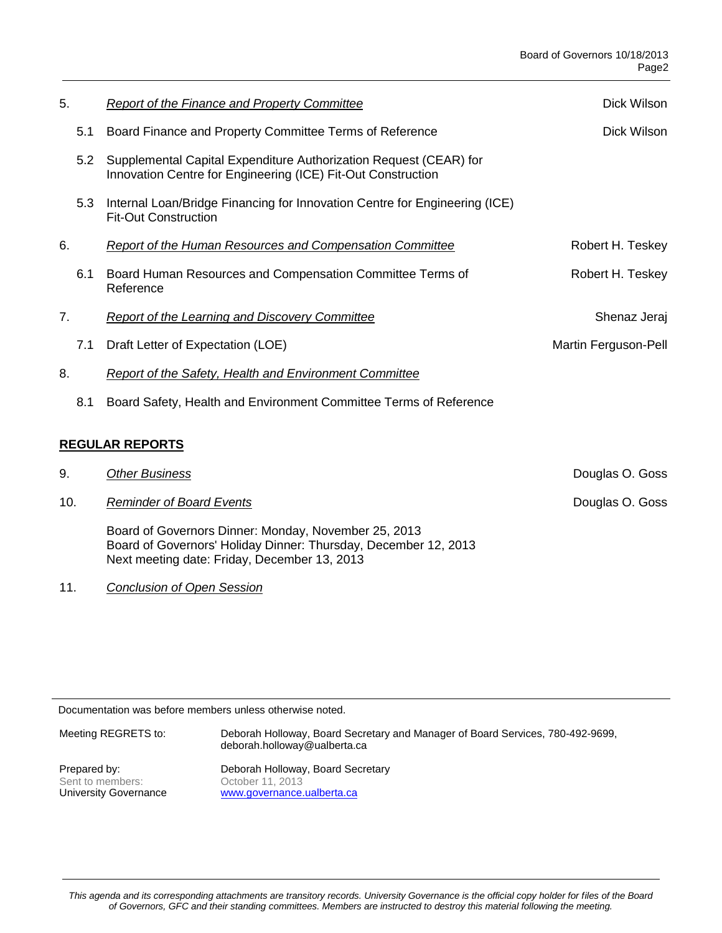| 5.                     | <b>Report of the Finance and Property Committee</b>                                                                               | Dick Wilson          |  |  |
|------------------------|-----------------------------------------------------------------------------------------------------------------------------------|----------------------|--|--|
| 5.1                    | Board Finance and Property Committee Terms of Reference                                                                           | Dick Wilson          |  |  |
| 5.2                    | Supplemental Capital Expenditure Authorization Request (CEAR) for<br>Innovation Centre for Engineering (ICE) Fit-Out Construction |                      |  |  |
| 5.3                    | Internal Loan/Bridge Financing for Innovation Centre for Engineering (ICE)<br><b>Fit-Out Construction</b>                         |                      |  |  |
| 6.                     | <b>Report of the Human Resources and Compensation Committee</b>                                                                   | Robert H. Teskey     |  |  |
| 6.1                    | Board Human Resources and Compensation Committee Terms of<br>Reference                                                            | Robert H. Teskey     |  |  |
| 7.                     | <b>Report of the Learning and Discovery Committee</b>                                                                             | Shenaz Jeraj         |  |  |
| 7.1                    | Draft Letter of Expectation (LOE)                                                                                                 | Martin Ferguson-Pell |  |  |
| 8.                     | <b>Report of the Safety, Health and Environment Committee</b>                                                                     |                      |  |  |
| 8.1                    | Board Safety, Health and Environment Committee Terms of Reference                                                                 |                      |  |  |
| <b>REGULAR REPORTS</b> |                                                                                                                                   |                      |  |  |
| 9.                     | <b>Other Business</b>                                                                                                             | Douglas O. Goss      |  |  |

10. **Reminder of Board Events Contract Contract Contract Contract Contract Contract Contract Contract Contract Contract Contract Contract Contract Contract Contract Contract Contract Contract Contract Contract Contract C** 

Board of Governors Dinner: Monday, November 25, 2013 Board of Governors' Holiday Dinner: Thursday, December 12, 2013 Next meeting date: Friday, December 13, 2013

11. *Conclusion of Open Session*

Documentation was before members unless otherwise noted.

| Meeting REGRETS to:   | Deborah Holloway, Board Secretary and Manager of Board Services, 780-492-9699,<br>deborah.holloway@ualberta.ca |
|-----------------------|----------------------------------------------------------------------------------------------------------------|
| Prepared by:          | Deborah Holloway, Board Secretary                                                                              |
| Sent to members:      | October 11, 2013                                                                                               |
| University Governance | www.governance.ualberta.ca                                                                                     |